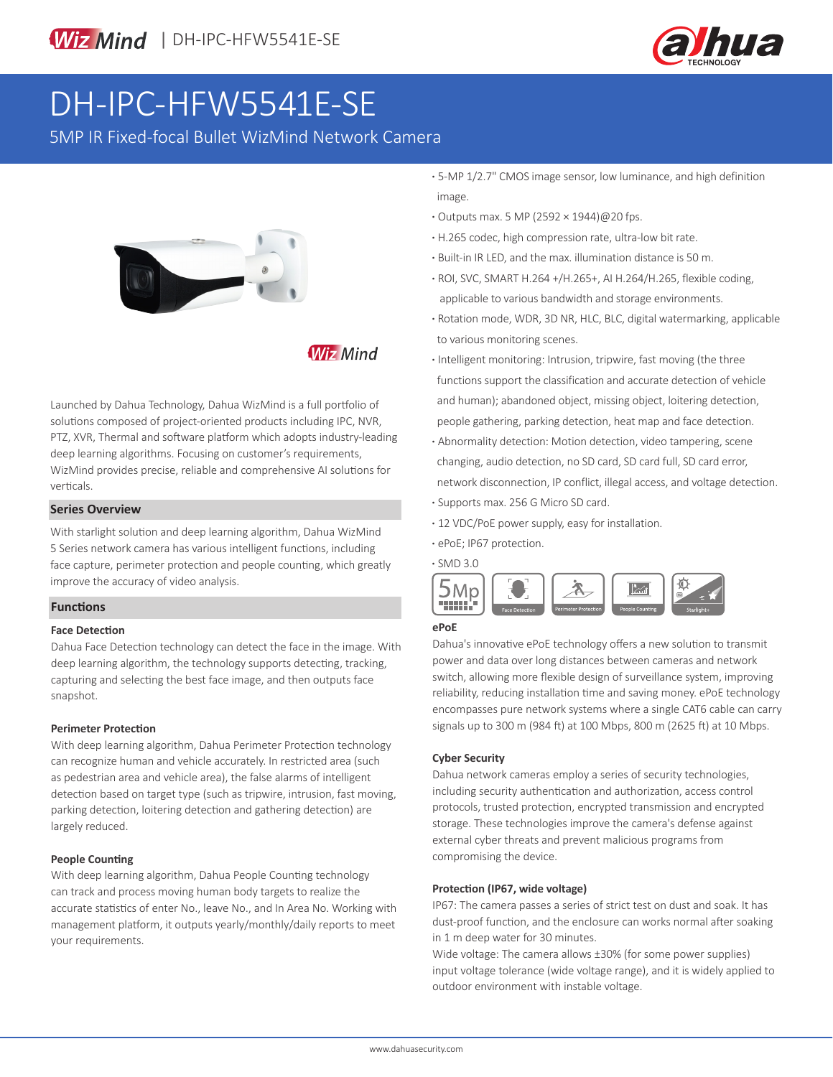

# DH-IPC-HFW5541E-SE

5MP IR Fixed-focal Bullet WizMind Network Camera



### **Wiz Mind**

Launched by Dahua Technology, Dahua WizMind is a full portfolio of solutions composed of project-oriented products including IPC, NVR, PTZ, XVR, Thermal and software platform which adopts industry-leading deep learning algorithms. Focusing on customer's requirements, WizMind provides precise, reliable and comprehensive AI solutions for verticals.

#### **Series Overview**

With starlight solution and deep learning algorithm, Dahua WizMind 5 Series network camera has various intelligent functions, including face capture, perimeter protection and people counting, which greatly improve the accuracy of video analysis.

#### **Functions**

#### **Face Detection**

Dahua Face Detection technology can detect the face in the image. With deep learning algorithm, the technology supports detecting, tracking, capturing and selecting the best face image, and then outputs face snapshot.

#### **Perimeter Protection**

With deep learning algorithm, Dahua Perimeter Protection technology can recognize human and vehicle accurately. In restricted area (such as pedestrian area and vehicle area), the false alarms of intelligent detection based on target type (such as tripwire, intrusion, fast moving, parking detection, loitering detection and gathering detection) are largely reduced.

#### **People Counting**

With deep learning algorithm, Dahua People Counting technology can track and process moving human body targets to realize the accurate statistics of enter No., leave No., and In Area No. Working with management platform, it outputs yearly/monthly/daily reports to meet your requirements.

- **·** 5-MP 1/2.7" CMOS image sensor, low luminance, and high definition image.
- **·** Outputs max. 5 MP (2592 × 1944)@20 fps.
- **·** H.265 codec, high compression rate, ultra-low bit rate.
- **·** Built-in IR LED, and the max. illumination distance is 50 m.
- **·** ROI, SVC, SMART H.264 +/H.265+, AI H.264/H.265, flexible coding, applicable to various bandwidth and storage environments.
- **·** Rotation mode, WDR, 3D NR, HLC, BLC, digital watermarking, applicable to various monitoring scenes.
- **·** Intelligent monitoring: Intrusion, tripwire, fast moving (the three functions support the classification and accurate detection of vehicle and human); abandoned object, missing object, loitering detection, people gathering, parking detection, heat map and face detection.
- **·** Abnormality detection: Motion detection, video tampering, scene changing, audio detection, no SD card, SD card full, SD card error, network disconnection, IP conflict, illegal access, and voltage detection. **·** Supports max. 256 G Micro SD card.
- 
- **·** 12 VDC/PoE power supply, easy for installation.
- **·** ePoE; IP67 protection.



#### **ePoE**

Dahua's innovative ePoE technology offers a new solution to transmit power and data over long distances between cameras and network switch, allowing more flexible design of surveillance system, improving reliability, reducing installation time and saving money. ePoE technology encompasses pure network systems where a single CAT6 cable can carry signals up to 300 m (984 ft) at 100 Mbps, 800 m (2625 ft) at 10 Mbps.

#### **Cyber Security**

Dahua network cameras employ a series of security technologies, including security authentication and authorization, access control protocols, trusted protection, encrypted transmission and encrypted storage. These technologies improve the camera's defense against external cyber threats and prevent malicious programs from compromising the device.

#### **Protection (IP67, wide voltage)**

IP67: The camera passes a series of strict test on dust and soak. It has dust-proof function, and the enclosure can works normal after soaking in 1 m deep water for 30 minutes.

Wide voltage: The camera allows ±30% (for some power supplies) input voltage tolerance (wide voltage range), and it is widely applied to outdoor environment with instable voltage.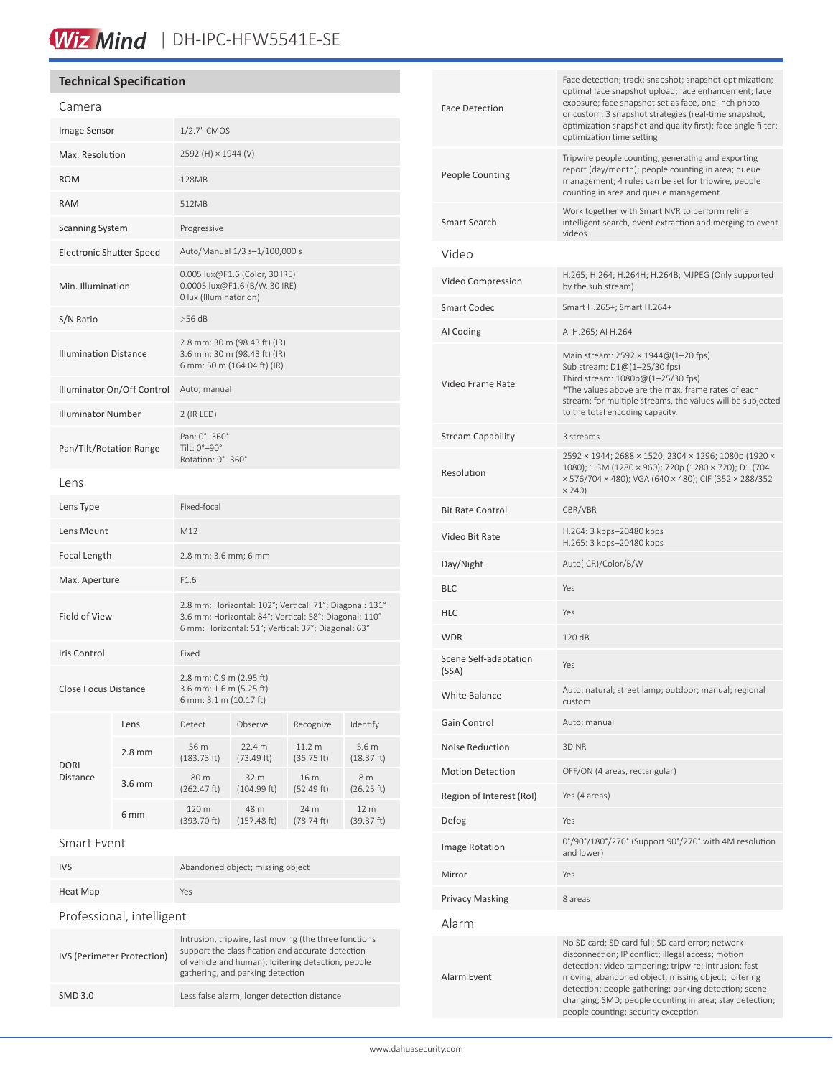# Wiz Mind | DH-IPC-HFW5541E-SE

### **Technical Specification**

| Camera                          |          |                                                                                                                                                                          |                      |                      |                                |
|---------------------------------|----------|--------------------------------------------------------------------------------------------------------------------------------------------------------------------------|----------------------|----------------------|--------------------------------|
| Image Sensor                    |          | 1/2.7" CMOS                                                                                                                                                              |                      |                      |                                |
| Max. Resolution                 |          | 2592 (H) × 1944 (V)                                                                                                                                                      |                      |                      |                                |
| <b>ROM</b>                      |          | 128MB                                                                                                                                                                    |                      |                      |                                |
| <b>RAM</b>                      |          | 512MB                                                                                                                                                                    |                      |                      |                                |
| <b>Scanning System</b>          |          | Progressive                                                                                                                                                              |                      |                      |                                |
| <b>Electronic Shutter Speed</b> |          | Auto/Manual 1/3 s-1/100,000 s                                                                                                                                            |                      |                      |                                |
| Min. Illumination               |          | 0.005 lux@F1.6 (Color, 30 IRE)<br>0.0005 lux@F1.6 (B/W, 30 IRE)<br>0 lux (Illuminator on)                                                                                |                      |                      |                                |
| S/N Ratio                       |          | $>56$ dB                                                                                                                                                                 |                      |                      |                                |
| <b>Illumination Distance</b>    |          | 2.8 mm: 30 m (98.43 ft) (IR)<br>3.6 mm: 30 m (98.43 ft) (IR)<br>6 mm: 50 m (164.04 ft) (IR)                                                                              |                      |                      |                                |
| Illuminator On/Off Control      |          | Auto; manual                                                                                                                                                             |                      |                      |                                |
| <b>Illuminator Number</b>       |          | 2 (IR LED)                                                                                                                                                               |                      |                      |                                |
| Pan/Tilt/Rotation Range         |          | Pan: 0°-360°<br>Tilt: $0^\circ - 90^\circ$<br>Rotation: 0°-360°                                                                                                          |                      |                      |                                |
| Lens                            |          |                                                                                                                                                                          |                      |                      |                                |
| Lens Type                       |          | Fixed-focal                                                                                                                                                              |                      |                      |                                |
| Lens Mount                      |          | M12                                                                                                                                                                      |                      |                      |                                |
| Focal Length                    |          | 2.8 mm; 3.6 mm; 6 mm                                                                                                                                                     |                      |                      |                                |
| Max. Aperture                   |          | F1.6                                                                                                                                                                     |                      |                      |                                |
| Field of View                   |          | 2.8 mm: Horizontal: 102°; Vertical: 71°; Diagonal: 131°<br>3.6 mm: Horizontal: 84°; Vertical: 58°; Diagonal: 110°<br>6 mm: Horizontal: 51°; Vertical: 37°; Diagonal: 63° |                      |                      |                                |
| <b>Iris Control</b>             |          | Fixed                                                                                                                                                                    |                      |                      |                                |
| Close Focus Distance            |          | 2.8 mm: 0.9 m (2.95 ft)<br>3.6 mm: 1.6 m (5.25 ft)<br>6 mm: 3.1 m (10.17 ft)                                                                                             |                      |                      |                                |
| <b>DORI</b><br>Distance         | Lens     | Detect                                                                                                                                                                   | Observe              | Recognize            | Identify                       |
|                                 | $2.8$ mm | 56 m<br>(183.73 ft)                                                                                                                                                      | 22.4 m<br>(73.49 ft) | 11.2 m<br>(36.75 ft) | 5.6 <sub>m</sub><br>(18.37 ft) |
|                                 | 3.6 mm   | 80 m<br>(262.47 ft)                                                                                                                                                      | 32 m<br>(104.99 ft)  | 16 m<br>(52.49 ft)   | 8 m<br>(26.25 ft)              |
|                                 | 6 mm     | 120 m<br>(393.70 ft)                                                                                                                                                     | 48 m<br>(157.48 ft)  | 24 m<br>(78.74 ft)   | 12 m<br>(39.37 ft)             |
| Smart Event                     |          |                                                                                                                                                                          |                      |                      |                                |

| <b>IVS</b>                 | Abandoned object; missing object                                                                                                                                                                     |  |  |
|----------------------------|------------------------------------------------------------------------------------------------------------------------------------------------------------------------------------------------------|--|--|
| Heat Map                   | Yes                                                                                                                                                                                                  |  |  |
| Professional, intelligent  |                                                                                                                                                                                                      |  |  |
| IVS (Perimeter Protection) | Intrusion, tripwire, fast moving (the three functions<br>support the classification and accurate detection<br>of vehicle and human); loitering detection, people<br>gathering, and parking detection |  |  |
| SMD 3.0                    | Less false alarm, longer detection distance                                                                                                                                                          |  |  |

| <b>Face Detection</b>          | Face detection; track; snapshot; snapshot optimization;<br>optimal face snapshot upload; face enhancement; face<br>exposure; face snapshot set as face, one-inch photo<br>or custom; 3 snapshot strategies (real-time snapshot,<br>optimization snapshot and quality first); face angle filter;<br>optimization time setting                                                      |  |  |
|--------------------------------|-----------------------------------------------------------------------------------------------------------------------------------------------------------------------------------------------------------------------------------------------------------------------------------------------------------------------------------------------------------------------------------|--|--|
| People Counting                | Tripwire people counting, generating and exporting<br>report (day/month); people counting in area; queue<br>management; 4 rules can be set for tripwire, people<br>counting in area and queue management.                                                                                                                                                                         |  |  |
| Smart Search                   | Work together with Smart NVR to perform refine<br>intelligent search, event extraction and merging to event<br>videos                                                                                                                                                                                                                                                             |  |  |
| Video                          |                                                                                                                                                                                                                                                                                                                                                                                   |  |  |
| Video Compression              | H.265; H.264; H.264H; H.264B; MJPEG (Only supported<br>by the sub stream)                                                                                                                                                                                                                                                                                                         |  |  |
| Smart Codec                    | Smart H.265+; Smart H.264+                                                                                                                                                                                                                                                                                                                                                        |  |  |
| AI Coding                      | AI H.265; AI H.264                                                                                                                                                                                                                                                                                                                                                                |  |  |
| Video Frame Rate               | Main stream: 2592 × 1944@(1-20 fps)<br>Sub stream: D1@(1-25/30 fps)<br>Third stream: 1080p@(1-25/30 fps)<br>*The values above are the max. frame rates of each<br>stream; for multiple streams, the values will be subjected<br>to the total encoding capacity.                                                                                                                   |  |  |
| <b>Stream Capability</b>       | 3 streams                                                                                                                                                                                                                                                                                                                                                                         |  |  |
| Resolution                     | 2592 × 1944; 2688 × 1520; 2304 × 1296; 1080p (1920 ×<br>1080); 1.3M (1280 × 960); 720p (1280 × 720); D1 (704<br>× 576/704 × 480); VGA (640 × 480); CIF (352 × 288/352<br>$\times$ 240)                                                                                                                                                                                            |  |  |
| <b>Bit Rate Control</b>        | CBR/VBR                                                                                                                                                                                                                                                                                                                                                                           |  |  |
| Video Bit Rate                 | H.264: 3 kbps-20480 kbps<br>H.265: 3 kbps-20480 kbps                                                                                                                                                                                                                                                                                                                              |  |  |
| Day/Night                      | Auto(ICR)/Color/B/W                                                                                                                                                                                                                                                                                                                                                               |  |  |
| BLC                            | Yes                                                                                                                                                                                                                                                                                                                                                                               |  |  |
| HLC                            | Yes                                                                                                                                                                                                                                                                                                                                                                               |  |  |
| WDR                            | 120 dB                                                                                                                                                                                                                                                                                                                                                                            |  |  |
| Scene Self-adaptation<br>(SSA) | Yes                                                                                                                                                                                                                                                                                                                                                                               |  |  |
| White Balance                  | Auto; natural; street lamp; outdoor; manual; regional<br>custom                                                                                                                                                                                                                                                                                                                   |  |  |
| Gain Control                   | Auto; manual                                                                                                                                                                                                                                                                                                                                                                      |  |  |
| Noise Reduction                | 3D NR                                                                                                                                                                                                                                                                                                                                                                             |  |  |
| <b>Motion Detection</b>        | OFF/ON (4 areas, rectangular)                                                                                                                                                                                                                                                                                                                                                     |  |  |
| Region of Interest (RoI)       | Yes (4 areas)                                                                                                                                                                                                                                                                                                                                                                     |  |  |
| Defog                          | Yes                                                                                                                                                                                                                                                                                                                                                                               |  |  |
| Image Rotation                 | 0°/90°/180°/270° (Support 90°/270° with 4M resolution<br>and lower)                                                                                                                                                                                                                                                                                                               |  |  |
| Mirror                         | Yes                                                                                                                                                                                                                                                                                                                                                                               |  |  |
| Privacy Masking                | 8 areas                                                                                                                                                                                                                                                                                                                                                                           |  |  |
| Alarm                          |                                                                                                                                                                                                                                                                                                                                                                                   |  |  |
| Alarm Event                    | No SD card; SD card full; SD card error; network<br>disconnection; IP conflict; illegal access; motion<br>detection; video tampering; tripwire; intrusion; fast<br>moving; abandoned object; missing object; loitering<br>detection; people gathering; parking detection; scene<br>changing; SMD; people counting in area; stay detection;<br>people counting; security exception |  |  |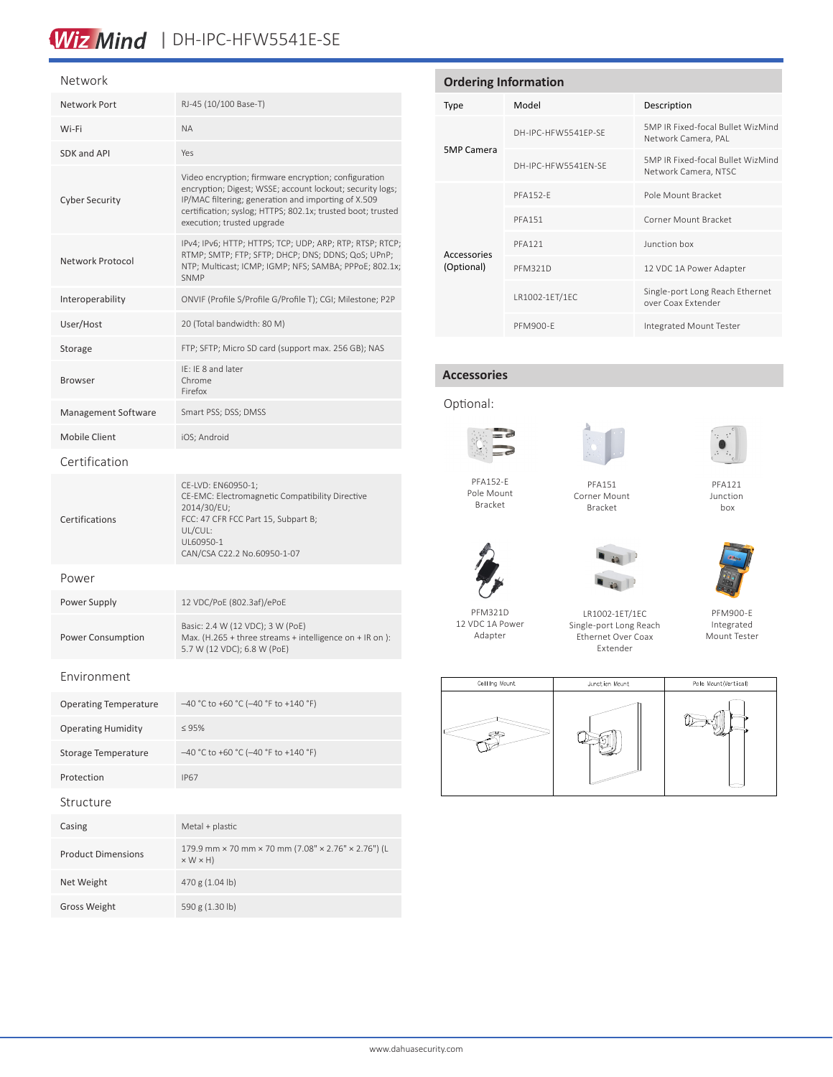## Wiz Mind | DH-IPC-HFW5541E-SE

#### Network

| Network Port                 | RJ-45 (10/100 Base-T)                                                                                                                                                                                                                                                 |  |
|------------------------------|-----------------------------------------------------------------------------------------------------------------------------------------------------------------------------------------------------------------------------------------------------------------------|--|
| Wi-Fi                        | <b>ΝΑ</b>                                                                                                                                                                                                                                                             |  |
| SDK and API                  | Yes                                                                                                                                                                                                                                                                   |  |
| <b>Cyber Security</b>        | Video encryption; firmware encryption; configuration<br>encryption; Digest; WSSE; account lockout; security logs;<br>IP/MAC filtering; generation and importing of X.509<br>certification; syslog; HTTPS; 802.1x; trusted boot; trusted<br>execution; trusted upgrade |  |
| Network Protocol             | IPv4; IPv6; HTTP; HTTPS; TCP; UDP; ARP; RTP; RTSP; RTCP;<br>RTMP; SMTP; FTP; SFTP; DHCP; DNS; DDNS; QoS; UPnP;<br>NTP; Multicast; ICMP; IGMP; NFS; SAMBA; PPPoE; 802.1x;<br>SNMP                                                                                      |  |
| Interoperability             | ONVIF (Profile S/Profile G/Profile T); CGI; Milestone; P2P                                                                                                                                                                                                            |  |
| User/Host                    | 20 (Total bandwidth: 80 M)                                                                                                                                                                                                                                            |  |
| Storage                      | FTP; SFTP; Micro SD card (support max. 256 GB); NAS                                                                                                                                                                                                                   |  |
| <b>Browser</b>               | IF: IF 8 and later<br>Chrome<br>Firefox                                                                                                                                                                                                                               |  |
| Management Software          | Smart PSS; DSS; DMSS                                                                                                                                                                                                                                                  |  |
| <b>Mobile Client</b>         | iOS; Android                                                                                                                                                                                                                                                          |  |
| Certification                |                                                                                                                                                                                                                                                                       |  |
| Certifications               | CE-LVD: EN60950-1;<br>CE-EMC: Electromagnetic Compatibility Directive<br>2014/30/EU;<br>FCC: 47 CFR FCC Part 15, Subpart B;<br>UL/CUL:<br>UL60950-1<br>CAN/CSA C22.2 No.60950-1-07                                                                                    |  |
| Power                        |                                                                                                                                                                                                                                                                       |  |
| Power Supply                 | 12 VDC/PoE (802.3af)/ePoE                                                                                                                                                                                                                                             |  |
| Power Consumption            | Basic: 2.4 W (12 VDC); 3 W (PoE)<br>Max. (H.265 + three streams + intelligence on + IR on):<br>5.7 W (12 VDC); 6.8 W (PoE)                                                                                                                                            |  |
| Fnvironment                  |                                                                                                                                                                                                                                                                       |  |
| <b>Operating Temperature</b> | $-40$ °C to +60 °C (-40 °F to +140 °F)                                                                                                                                                                                                                                |  |
| <b>Operating Humidity</b>    | $\leq 95\%$                                                                                                                                                                                                                                                           |  |
| Storage Temperature          | $-40$ °C to +60 °C (-40 °F to +140 °F)                                                                                                                                                                                                                                |  |
| Protection                   | <b>IP67</b>                                                                                                                                                                                                                                                           |  |
| Structure                    |                                                                                                                                                                                                                                                                       |  |
| Casing                       | Metal + plastic                                                                                                                                                                                                                                                       |  |
| <b>Product Dimensions</b>    | 179.9 mm × 70 mm × 70 mm (7.08" × 2.76" × 2.76") (L<br>$\times$ W $\times$ H)                                                                                                                                                                                         |  |
| Net Weight                   | 470 g (1.04 lb)                                                                                                                                                                                                                                                       |  |

Gross Weight 590 g (1.30 lb)

**Ordering Information** Type Model Description 5MP Camera DH-IPC-HFW5541EP-SE 5MP IR Fixed-focal Bullet WizMind Network Camera, PAL DH-IPC-HFW5541EN-SE 5MP IR Fixed-focal Bullet WizMind Network Camera, NTSC Accessories (Optional) PFA152-E Pole Mount Bracket PFA151 Corner Mount Bracket PFA121 Junction box PFM321D 12 VDC 1A Power Adapter LR1002-1ET/1EC Single-port Long Reach Ethernet over Coax Extender PFM900-E Integrated Mount Tester

#### **Accessories**

Optional:



PFA152-E Pole Mount Bracket



| PFA151       |  |
|--------------|--|
| Corner Mount |  |

Bracket

PFA121 Junction box







PFM900-E Integrated Mount Tester

Ceiling Mount Junction Mount Pole Mount(Vertical)  $\mathbb{D}$  $\frac{1}{\sqrt{2}}$ 

PFM321D

12 VDC 1A Power Adapter

LR1002-1ET/1EC Single-port Long Reach Ethernet Over Coax Extender